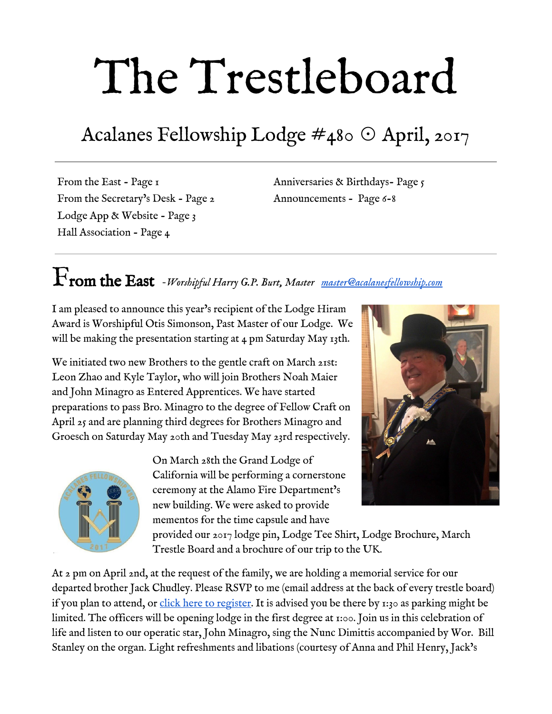# The Trestleboard

## Acalanes Fellowship Lodge #480 ☉ April, 2017

From the East - Page 1 From the Secretary's Desk - Page 2 Lodge App & Website - Page 3 Hall Association - Page 4

Anniversaries & Birthdays- Page 5 Announcements - Page 6-8

## From the East *-Worshipful Harry G.P. Burt, Master [master@acalanesfellowship.com](mailto:master@acalanesfellowship.com)*

I am pleased to announce this year's recipient of the Lodge Hiram Award is Worshipful Otis Simonson, Past Master of our Lodge. We will be making the presentation starting at 4 pm Saturday May 13th.

We initiated two new Brothers to the gentle craft on March 21st: Leon Zhao and Kyle Taylor, who will join Brothers Noah Maier and John Minagro as Entered Apprentices. We have started preparations to pass Bro. Minagro to the degree of Fellow Craft on April 25 and are planning third degrees for Brothers Minagro and Groesch on Saturday May 20th and Tuesday May 23rd respectively.



On March 28th the Grand Lodge of California will be performing a cornerstone ceremony at the Alamo Fire Department's new building. We were asked to provide mementos for the time capsule and have



provided our 2017 lodge pin, Lodge Tee Shirt, Lodge Brochure, March Trestle Board and a brochure of our trip to the UK.

At 2 pm on April 2nd, at the request of the family, we are holding a memorial service for our departed brother Jack Chudley. Please RSVP to me (email address at the back of every trestle board) if you plan to attend, or [click here to register.](https://www.eventbrite.com/e/jack-chudley-memorial-tickets-32745733370?ref=elink) It is advised you be there by 1:30 as parking might be limited. The officers will be opening lodge in the first degree at 1:00. Join us in this celebration of life and listen to our operatic star, John Minagro, sing the Nunc Dimittis accompanied by Wor. Bill Stanley on the organ. Light refreshments and libations (courtesy of Anna and Phil Henry, Jack's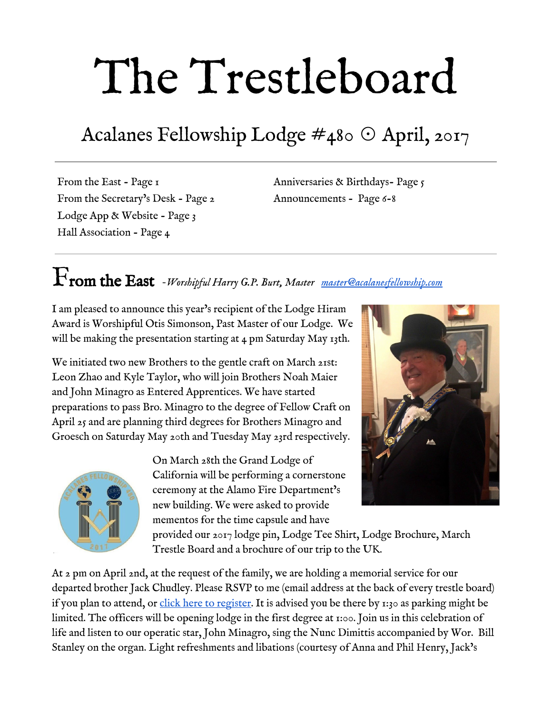daughter and son-in-law).

We are pleased to say that we now have a new wireless sound system which we were able to try for the first time at our last Stated Meeting. By all accounts this is a great improvement to the experience of being in lodge. We thank Wor. Marion Rogers, and all the brothers who donated, for making this possible.

Finally, you are not too late to join our trip to the UK, nor is it too early to start planning to attend our visitation to Mendocino Lodge for our Past Masters' degree on August 19. Please contact me for further information about either of these special events.

#### From the Secretary's Desk *-Fred Lezak, Secretary [secretary@acalanesfellowship.com](mailto:secretary@acalanesfellowship.com)*

We are only in our fourth month and already much has taken place at our lodge. And there have been many distinguished visitors as well. For the raising of Brother Terry Killgore, we were honored with the presence of Worshipful Ricky Lawler, Assistant Grand Lecturer, Division 4 and Worshipful Greg Thompson District Inspector, District 305. Worshipful Brother Thompson will be visiting us again in April along with Julie Weinberg from Grand Lodge. Later in the month we were honored with the presence of Most Worshipful David Perry, most recent Past Grand Master, Worshipful Terry Peters, President of Northern California DeMolay International and Worshipful James Banta, Executive Director of Northern California DeMolay International. They were here to present our own Most Worshipful Al Weis with his 60th year DeMolay pin.



And the beat goes on with several 1st, 2nd and 3rd degrees coming up very shortly. With so much going on, I think you will want to be here with us. As always, I invite you to our regular stated meeting together with social hour (5:30pm -6:30pm), delicious dinner and interesting program (6:30pm – 7:30pm) and business meeting. If you haven't been for a while, you sure have been missing a great time and we miss your presence.

On a more mundane matter, there still some brothers who have not paid their dues for  $2017$ , I know this fact is hard to believe but it is true. Reminder notices have been mailed. If you have not yet paid dues, please do so now. You can mail them to the lodge at P.O. Box 1, Lafayette, CA. or pay them online at the Acalanes Fellowship Lodge website. The dues are \$172.00.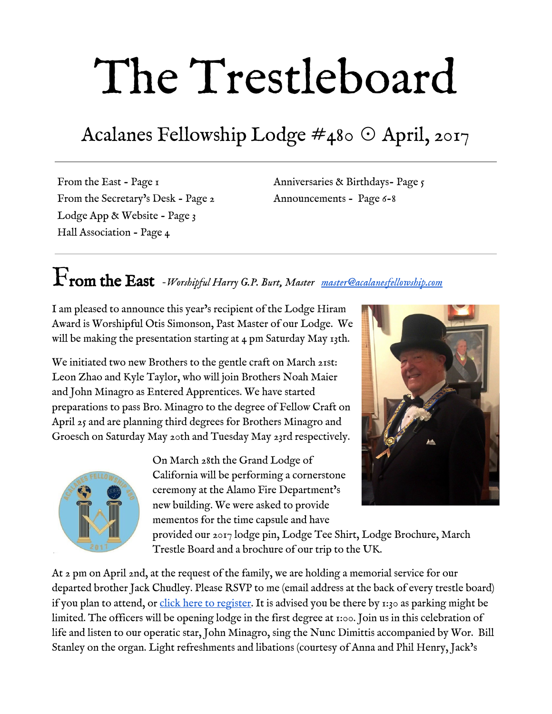#### Lodge App and Website *- Adam Hanin, Senior Deacon [webmaster@acalanesfellowship.com](mailto:webmaster@acalanesfellowship.com)*

If you haven't downloaded the lodge app yet (and many of you haven't) - what are you waiting for? The app provides a way for you to see what is happening at the lodge right on your smartphone, and communicate with the brethren as well!

The App restricts access to only those who have been granted access (i.e. members of the lodge only) and acts as a sort of Facebook among the Brethren only. It includes the following useful features:

Post and comment in a Facebook-like news feed

View calendar information

Send notifications of events directly to members' smartphones

Browse member contact information; email and call with ease.

- Create smaller messaging groups on specific topics
- Send a private message to a single person

Link to our lodge web site and Trestleboard

All activity is private to the members of the app only; message and post to only members on the app

The lodge officers already use it to communicate and coordinate around events, practices, and more… why not join us?

On your mobile device, just go to:

#### <http://bit.ly/LodgeAppInstall>

Select the option for your mobile operating system and you will be provided with installation and registration instructions.

And next month, stay tuned for information on updates to our website… including tiled pages and discussions!

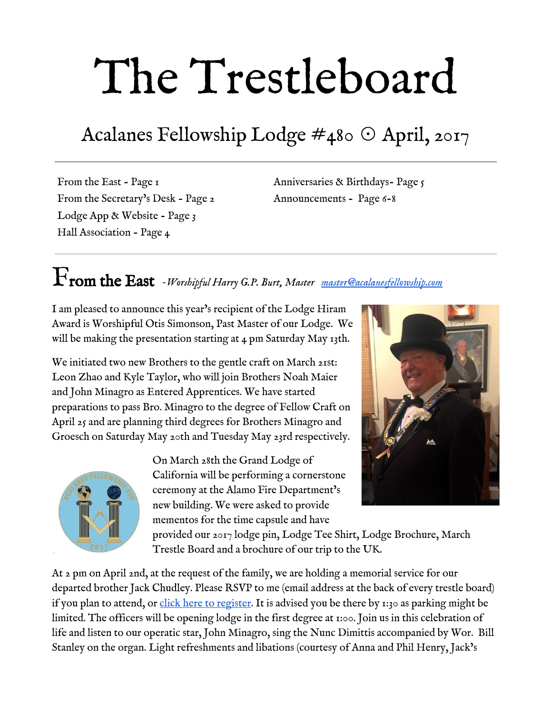#### Hall Association *Bob Smith, Hall Association President [hallassociation@acalanesfellowship.com](mailto:hallassociation@acalanesfellowship.com)*

The Hall Association has planned for a general work day at the lodge on Saturday April 8, 2017 from 9:00am to 12:00n. A good turn out will make the work go faster and easier. We will need help in the following areas:

 Outside garden maintenance Plumbing Electrical General skills Cleaning expertise Coffee and refreshments will be available



Memorial Service for

Jack Chudley 5/13/1922 - 1/24/2017

Sunday April 2, 2pm-4pm

Acalanes Fellowship Lodge

**Click and Register** 

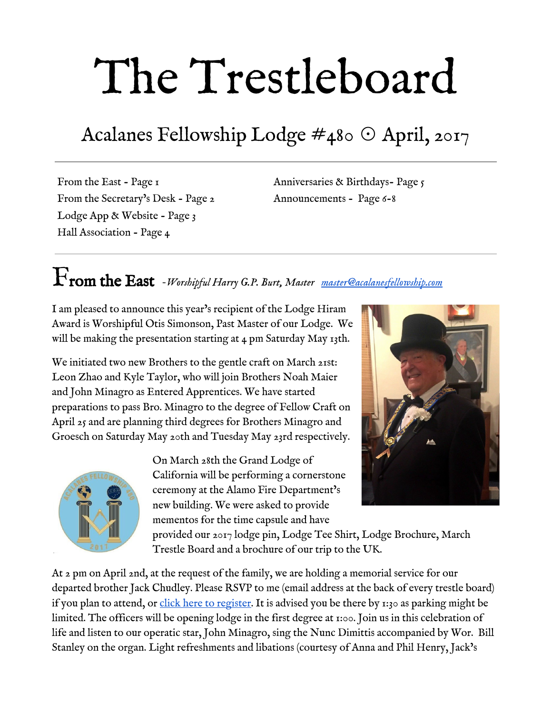

## 3rd Degree Anniversaries



Birthdays

Please join us in wishing our brethren very happy birthdays this month.

| George H. Konstantopoulos, PM | April 6   |
|-------------------------------|-----------|
| Alan L. Sherman               | April $7$ |
| Edward A. Stack, Jr.          | April $7$ |
| Robert L. Polvi               | April 10  |
| Richard G. Keihner            | April 11  |
| Donald K. Chambers            | April 14  |
| Thomas E. Riley, III, PM      | April 15  |
| James R. Barley               | April 16  |
| Frederick T. Lezak, Jr.       | April 17  |
| Eldon G. Keefer               | April 20  |
| P G. Korwin                   | April 20  |
| Robert D. Haile               | April 22  |
| Mark A. Williams              | April 23  |
| Timothy L. Wilbur             | April 24  |
| Otis Simonsen, PM             | April 26  |
| Á                             |           |

| Name                  | Raised        | Years a        |   |
|-----------------------|---------------|----------------|---|
|                       |               | MM             |   |
| John H. Kalivoda      | 4/12/1957     | 60             |   |
| Amos J. Leffler       | 4/8/1958      | 59             |   |
| Peter J. Axtman       | 4/23/1959     | 58             |   |
| Donald R. Hansen, PM  | 4/21/1959     | 58             |   |
| Gerald I. Hertz       | 4/19/1966     | 5I             |   |
| Jay J. Newman         | 4/20/1968     | 49             |   |
| Gary A. Yanes, PM     | 4/18/1973     | 44             |   |
| James L. Weeden       | $4/\pi$ /1974 | 4 <sub>3</sub> |   |
| Roy Couch             | 4/27/1976     | 4I             |   |
| Donald B. Burnett, PM | 4/11/1978     | 39             |   |
| Jeffrey A. Fesunoff   | 4/30/2002     | 15             |   |
| Russell J. Chapman    | 4/29/2003     | 14             |   |
| <b>B.</b> Ryder Brose | 4/28/2007     | 10             |   |
| Mark A. Williams      | 4/30/2011     | б              |   |
| Á                     | ł             | Á              |   |
| Á                     | ı             |                |   |
| Á                     | ı             |                |   |
| Á                     | ı             |                |   |
| Á                     |               |                |   |
| Á                     | I             |                | I |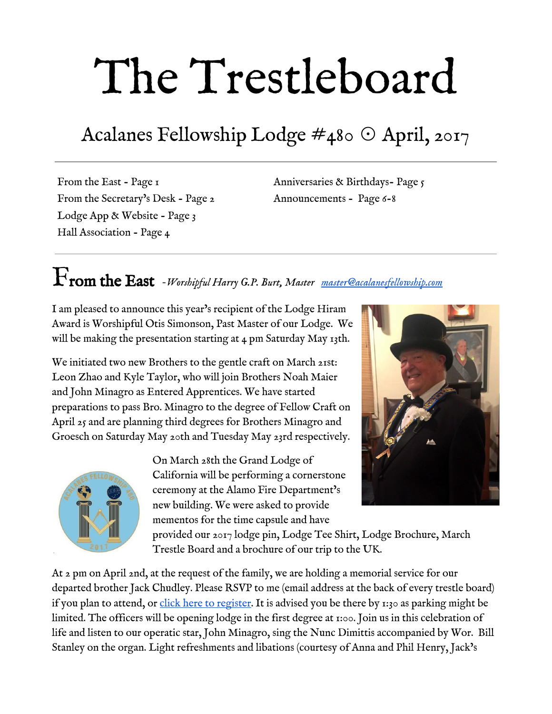

## April Stated Meeting *April 4, 5:30pm*

Julie Weinberg of Grand Lodge will be visiting us to bring us up to date on Grand Lodge's new approach to charitable giving. In addition, Worshipful Greg Thompson PM will be making his official visit to our lodge, so please fill up those sidelines and welcome our District Inspector.

#### Menu: Salisbury Steak, Mashed Potatoes, Sweet Corn, Garden Salad, Rolls & Butter Strawberry Shortcake for dessert

**Click and Register** 

Alternatively, you may email  $\underline{rsvp@acalanes.org}$  or call (925) 284-7815 to register.



*Come help our excellent Ritual Team* 

*PASS TO THE DEGREE OF FELLOW CRAFT* 

*John Minagro* 

*--------------------------------- Tuesday, April 25 6:30 pm Acalanes Fellowship Lodge*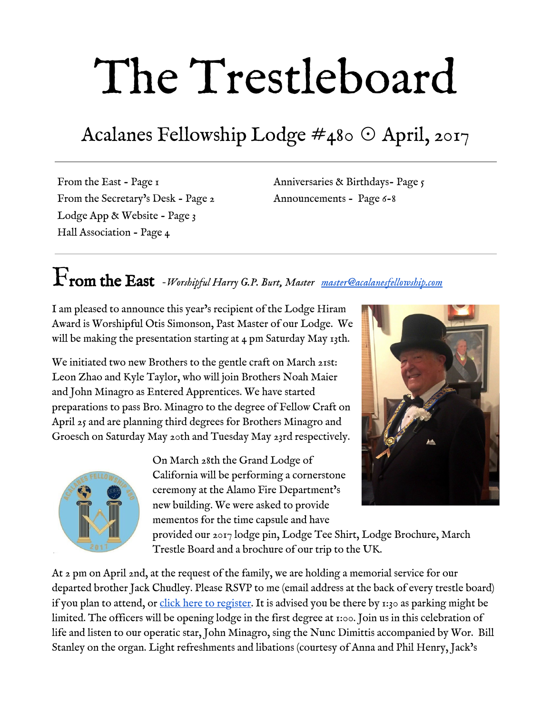### PUBLIC SCHOOLS MONTH

Public Schools Month is just around the corner and we want you to celebrate with the East Bay Public Schools Advisory Council on Friday, April 21.

Show your commitment to public schools in the East Bay – and your pride as a California Mason – by joining your local Public Schools Advisory Council and Grand Lodge officers for the East Bay Public Schools Month Celebration in Oakland.



Every day our Masonic charities improve the lives of thousands of students. On April 21, we'll come together as a fraternity to renew a promise: We will show California public schools and communities that they can count on us.

On behalf of the fraternity, Grand Lodge officers will present a check in support of students and families in East Bay.

This generous donation – raised by Masons statewide – will provide critical support for our fraternity's public schools programs.

Let's use this opportunity to meet our community and show how California Masons are here for our communities!

#### When:

Friday, April 21, 2017 at 8:30 a.m.

#### Where:

Sankofa Academy 581 61st Street Oakland, CA 94609

#### Contact Us…

Harry Burt **Master** [master@acalanesfellowship.com](mailto:master@acalanesfellowship.com)

Michael Roberts, PM Senior Warden [srwarden@acalanesfellowship.com](mailto:srwarden@acalanesfellowship.com)

Robert Strohmeyer Junior Warden [jrwarden@acalanesfellowship.com](mailto:jrwarden@acalanesfellowship.com)

Mark Williams Treasurer [treasurer@acalanesfellowship.com](mailto:treasurer@acalanesfellowship.com)

Fred Lezak **Secretary** [secretary@acalanesfellowship.com](mailto:secretary@acalanesfellowship.com)

Frank Shoffner Chaplain [chaplain@acalanesfellowship.com](mailto:chaplain@acalanesfellowship.com)

Hall Association / Rentals [hallassociation@acalanesfellowship.com](mailto:hallassociation@acalanesfellowship.com)

Webmaster [webmaster@acalanesfellowship.com](mailto:webmaster@acalanesfellowship.com)

**Trestleboard** [trestleboard@acalanesfellowship.com](mailto:trestleboard@acalanesfellowship.com)

#### Acalanes Fellowship Lodge

P.O. Box 1, Lafayette, CA 94549  $(925) 284 - 7815$